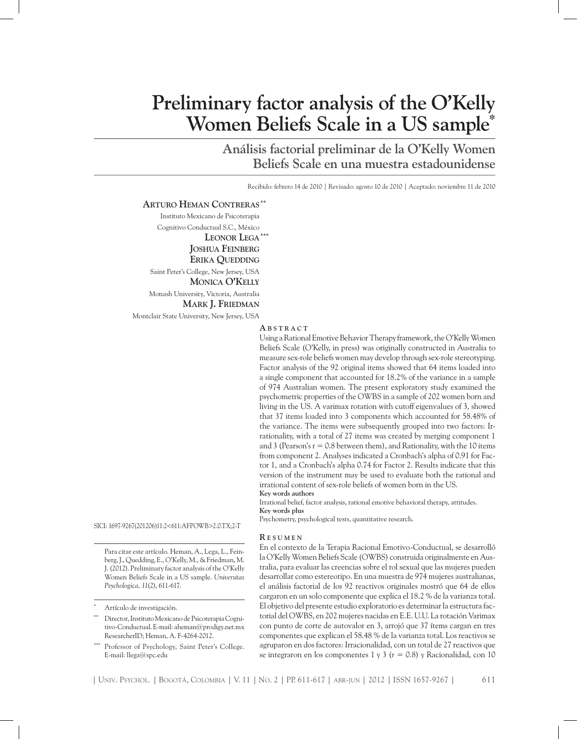# **Preliminary factor analysis of the O'Kelly Women Beliefs Scale in a US sample\***

**Análisis factorial preliminar de la O'Kelly Women Beliefs Scale en una muestra estadounidense**

Recibido: febrero 14 de 2010 | Revisado: agosto 10 de 2010 | Aceptado: noviembre 11 de 2010

#### **Arturo Heman Contreras\*\***

Instituto Mexicano de Psicoterapia Cognitivo Conductual S.C., México **Leonor Lega\*\*\* Joshua Feinberg Erika Quedding** Saint Peter's College, New Jersey, USA  **Monica O'Kelly** Monash University, Victoria, Australia  **Mark J. Friedman** Montclair State University, New Jersey, USA

#### **A b s t r ac t**

Using a Rational Emotive Behavior Therapy framework, the O'Kelly Women Beliefs Scale (O'Kelly, in press) was originally constructed in Australia to measure sex-role beliefs women may develop through sex-role stereotyping. Factor analysis of the 92 original items showed that 64 items loaded into a single component that accounted for 18.2% of the variance in a sample of 974 Australian women. The present exploratory study examined the psychometric properties of the OWBS in a sample of 202 women born and living in the US. A varimax rotation with cutoff eigenvalues of 3, showed that 37 items loaded into 3 components which accounted for 58.48% of the variance. The items were subsequently grouped into two factors: Irrationality, with a total of 27 items was created by merging component 1 and 3 (Pearson's  $r = 0.8$  between them), and Rationality, with the 10 items from component 2. Analyses indicated a Cronbach's alpha of 0.91 for Factor 1, and a Cronbach's alpha 0.74 for Factor 2. Results indicate that this version of the instrument may be used to evaluate both the rational and irrational content of sex-role beliefs of women born in the US. **Key words authors**

Irrational belief, factor analysis, rational emotive behavioral therapy, attitudes. **Key words plus**

Psychometry, psychological tests, quantitative research.

SICI: 1697-9267(201206)11:2<611:AFPOWB>2.0.TX;2-T

Para citar este artículo. Heman, A., Lega, L., Feinberg, J., Quedding, E., O'Kelly, M., & Friedman, M. J. (2012). Preliminary factor analysis of the O'Kelly Women Beliefs Scale in a US sample. *Universitas Psychologica, 11*(2), 611-617.

Director, Instituto Mexicano de Psicoterapia Cognitivo-Conductual. E-mail: aheman@prodigy.net.mx ResearcherID; Heman, A. F-4264-2012.

Professor of Psychology, Saint Peter's College. E-mail: llega@spc.edu

#### **R e s u m e n**

En el contexto de la Terapia Racional Emotivo-Conductual, se desarrolló la O'Kelly Women Beliefs Scale (OWBS) construida originalmente en Australia, para evaluar las creencias sobre el rol sexual que las mujeres pueden desarrollar como estereotipo. En una muestra de 974 mujeres australianas, el análisis factorial de los 92 reactivos originales mostró que 64 de ellos cargaron en un solo componente que explica el 18.2 % de la varianza total. El objetivo del presente estudio exploratorio es determinar la estructura factorial del OWBS, en 202 mujeres nacidas en E.E. U.U. La rotación Varimax con punto de corte de autovalor en 3, arrojó que 37 ítems cargan en tres componentes que explican el 58.48 % de la varianza total. Los reactivos se agruparon en dos factores: Irracionalidad, con un total de 27 reactivos que se integraron en los componentes 1 y 3 (*r* = 0.8) y Racionalidad, con 10

Artículo de investigación.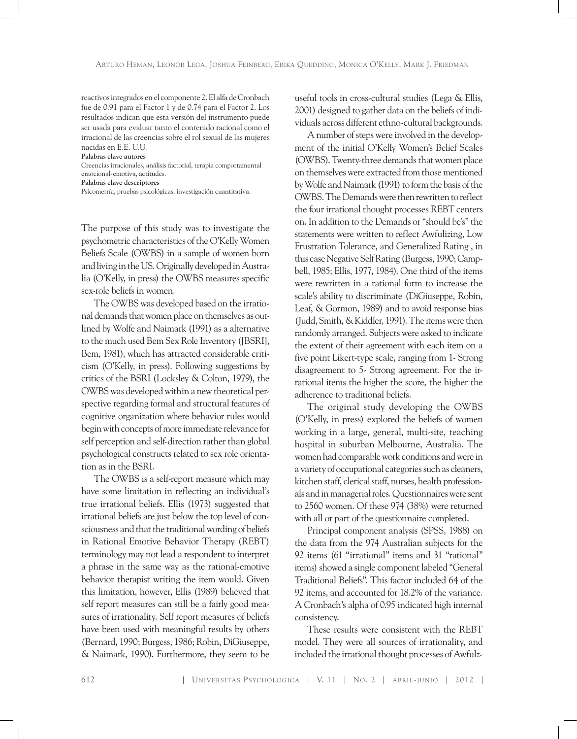reactivos integrados en el componente 2. El alfa de Cronbach fue de 0.91 para el Factor 1 y de 0.74 para el Factor 2. Los resultados indican que esta versión del instrumento puede ser usada para evaluar tanto el contenido racional como el irracional de las creencias sobre el rol sexual de las mujeres nacidas en E.E. U.U.

**Palabras clave autores**

Creencias irracionales, análisis factorial, terapia comportamental emocional-emotiva, actitudes.

**Palabras clave descriptores**

Psicometría, pruebas psicológicas, investigación cuantitativa.

The purpose of this study was to investigate the psychometric characteristics of the O'Kelly Women Beliefs Scale (OWBS) in a sample of women born and living in the US. Originally developed in Australia (O'Kelly, in press) the OWBS measures specific sex-role beliefs in women.

The OWBS was developed based on the irrational demands that women place on themselves as outlined by Wolfe and Naimark (1991) as a alternative to the much used Bem Sex Role Inventory ([BSRI], Bem, 1981), which has attracted considerable criticism (O'Kelly, in press). Following suggestions by critics of the BSRI (Locksley & Colton, 1979), the OWBS was developed within a new theoretical perspective regarding formal and structural features of cognitive organization where behavior rules would begin with concepts of more immediate relevance for self perception and self-direction rather than global psychological constructs related to sex role orientation as in the BSRI.

The OWBS is a self-report measure which may have some limitation in reflecting an individual's true irrational beliefs. Ellis (1973) suggested that irrational beliefs are just below the top level of consciousness and that the traditional wording of beliefs in Rational Emotive Behavior Therapy (REBT) terminology may not lead a respondent to interpret a phrase in the same way as the rational-emotive behavior therapist writing the item would. Given this limitation, however, Ellis (1989) believed that self report measures can still be a fairly good measures of irrationality. Self report measures of beliefs have been used with meaningful results by others (Bernard, 1990; Burgess, 1986; Robin, DiGiuseppe, & Naimark, 1990). Furthermore, they seem to be

useful tools in cross-cultural studies (Lega & Ellis, 2001) designed to gather data on the beliefs of individuals across different ethno-cultural backgrounds.

A number of steps were involved in the development of the initial O'Kelly Women's Belief Scales (OWBS). Twenty-three demands that women place on themselves were extracted from those mentioned by Wolfe and Naimark (1991) to form the basis of the OWBS. The Demands were then rewritten to reflect the four irrational thought processes REBT centers on. In addition to the Demands or "should be's" the statements were written to reflect Awfulizing, Low Frustration Tolerance, and Generalized Rating , in this case Negative Self Rating (Burgess, 1990; Campbell, 1985; Ellis, 1977, 1984). One third of the items were rewritten in a rational form to increase the scale's ability to discriminate (DiGiuseppe, Robin, Leaf, & Gormon, 1989) and to avoid response bias (Judd, Smith, & Kiddler, 1991). The items were then randomly arranged. Subjects were asked to indicate the extent of their agreement with each item on a five point Likert-type scale, ranging from 1- Strong disagreement to 5- Strong agreement. For the irrational items the higher the score, the higher the adherence to traditional beliefs.

The original study developing the OWBS (O'Kelly, in press) explored the beliefs of women working in a large, general, multi-site, teaching hospital in suburban Melbourne, Australia. The women had comparable work conditions and were in a variety of occupational categories such as cleaners, kitchen staff, clerical staff, nurses, health professionals and in managerial roles. Questionnaires were sent to 2560 women. Of these 974 (38%) were returned with all or part of the questionnaire completed.

Principal component analysis (SPSS, 1988) on the data from the 974 Australian subjects for the 92 items (61 "irrational" items and 31 "rational" items) showed a single component labeled "General Traditional Beliefs". This factor included 64 of the 92 items, and accounted for 18.2% of the variance. A Cronbach's alpha of 0.95 indicated high internal consistency.

These results were consistent with the REBT model. They were all sources of irrationality, and included the irrational thought processes of Awfulz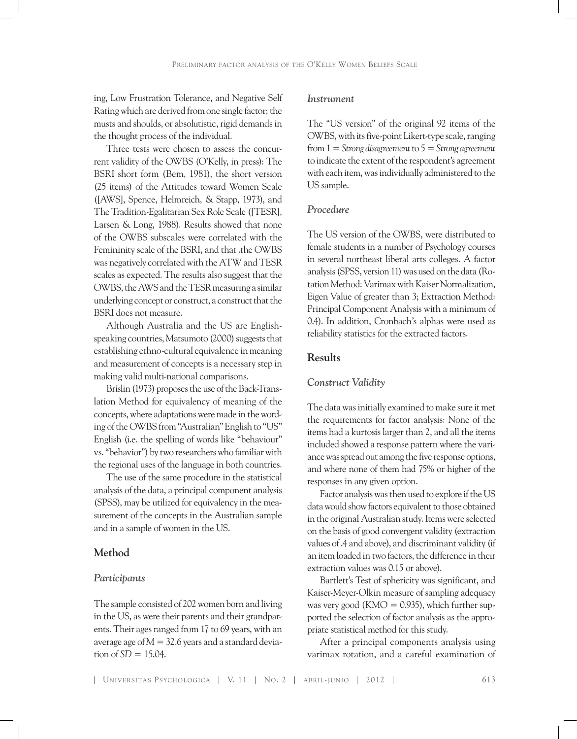ing, Low Frustration Tolerance, and Negative Self Rating which are derived from one single factor; the musts and shoulds, or absolutistic, rigid demands in the thought process of the individual.

Three tests were chosen to assess the concurrent validity of the OWBS (O'Kelly, in press): The BSRI short form (Bem, 1981), the short version (25 items) of the Attitudes toward Women Scale ([AWS], Spence, Helmreich, & Stapp, 1973), and The Tradition-Egalitarian Sex Role Scale ([TESR], Larsen & Long, 1988). Results showed that none of the OWBS subscales were correlated with the Femininity scale of the BSRI, and that .the OWBS was negatively correlated with the ATW and TESR scales as expected. The results also suggest that the OWBS, the AWS and the TESR measuring a similar underlying concept or construct, a construct that the BSRI does not measure.

Although Australia and the US are Englishspeaking countries, Matsumoto (2000) suggests that establishing ethno-cultural equivalence in meaning and measurement of concepts is a necessary step in making valid multi-national comparisons.

Brislin (1973) proposes the use of the Back-Translation Method for equivalency of meaning of the concepts, where adaptations were made in the wording of the OWBS from "Australian" English to "US" English (i.e. the spelling of words like "behaviour" vs. "behavior") by two researchers who familiar with the regional uses of the language in both countries.

The use of the same procedure in the statistical analysis of the data, a principal component analysis (SPSS), may be utilized for equivalency in the measurement of the concepts in the Australian sample and in a sample of women in the US.

# **Method**

#### *Participants*

The sample consisted of 202 women born and living in the US, as were their parents and their grandparents. Their ages ranged from 17 to 69 years, with an average age of *M* = 32.6 years and a standard devia- $\text{tion of SD} = 15.04.$ 

## *Instrument*

The "US version" of the original 92 items of the OWBS, with its five-point Likert-type scale, ranging from 1 = *Strong disagreement* to 5 = *Strong agreement* to indicate the extent of the respondent's agreement with each item, was individually administered to the US sample.

## *Procedure*

The US version of the OWBS, were distributed to female students in a number of Psychology courses in several northeast liberal arts colleges. A factor analysis (SPSS, version 11) was used on the data (Rotation Method: Varimax with Kaiser Normalization, Eigen Value of greater than 3; Extraction Method: Principal Component Analysis with a minimum of 0.4). In addition, Cronbach's alphas were used as reliability statistics for the extracted factors.

# **Results**

## *Construct Validity*

The data was initially examined to make sure it met the requirements for factor analysis: None of the items had a kurtosis larger than 2, and all the items included showed a response pattern where the variance was spread out among the five response options, and where none of them had 75% or higher of the responses in any given option.

Factor analysis was then used to explore if the US data would show factors equivalent to those obtained in the original Australian study. Items were selected on the basis of good convergent validity (extraction values of .4 and above), and discriminant validity (if an item loaded in two factors, the difference in their extraction values was 0.15 or above).

Bartlett's Test of sphericity was significant, and Kaiser-Meyer-Olkin measure of sampling adequacy was very good (KMO =  $0.935$ ), which further supported the selection of factor analysis as the appropriate statistical method for this study.

After a principal components analysis using varimax rotation, and a careful examination of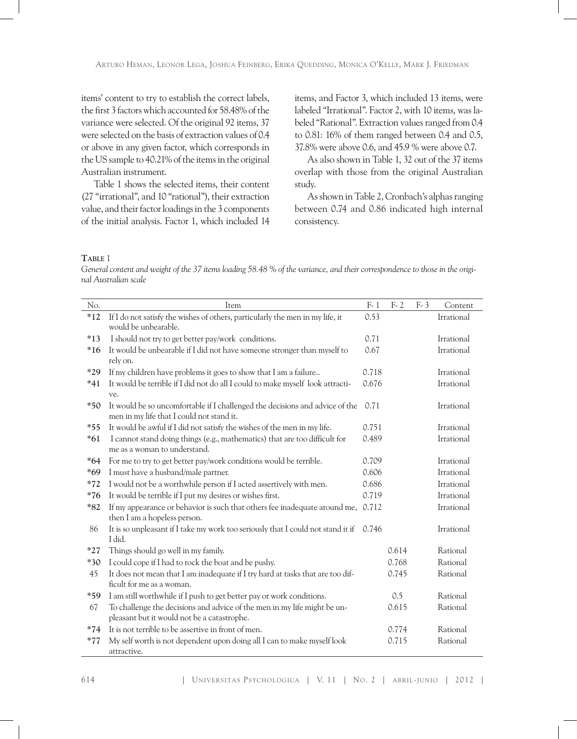items' content to try to establish the correct labels, the first 3 factors which accounted for 58.48% of the variance were selected. Of the original 92 items, 37 were selected on the basis of extraction values of 0.4 or above in any given factor, which corresponds in the US sample to 40.21% of the items in the original Australian instrument.

Table 1 shows the selected items, their content (27 "irrational", and 10 "rational"), their extraction value, and their factor loadings in the 3 components of the initial analysis. Factor 1, which included 14

items, and Factor 3, which included 13 items, were labeled "Irrational". Factor 2, with 10 items, was labeled "Rational". Extraction values ranged from 0.4 to 0.81: 16% of them ranged between 0.4 and 0.5, 37.8% were above 0.6, and 45.9 % were above 0.7.

As also shown in Table 1, 32 out of the 37 items overlap with those from the original Australian study.

As shown in Table 2, Cronbach's alphas ranging between 0.74 and 0.86 indicated high internal consistency.

## **Table** 1

*General content and weight of the 37 items loading 58.48 % of the variance, and their correspondence to those in the original Australian scale*

| No.   | Item                                                                                                                      | $F-1$ | $F-2$ | $F - 3$ | Content    |
|-------|---------------------------------------------------------------------------------------------------------------------------|-------|-------|---------|------------|
| $*12$ | If I do not satisfy the wishes of others, particularly the men in my life, it<br>would be unbearable.                     | 0.53  |       |         | Irrational |
| $*13$ | I should not try to get better pay/work conditions.                                                                       | 0.71  |       |         | Irrational |
| $*16$ | It would be unbearable if I did not have someone stronger than myself to<br>rely on.                                      | 0.67  |       |         | Irrational |
| $*29$ | If my children have problems it goes to show that I am a failure                                                          | 0.718 |       |         | Irrational |
| $*41$ | It would be terrible if I did not do all I could to make myself look attracti-<br>ve.                                     | 0.676 |       |         | Irrational |
| $*50$ | It would be so uncomfortable if I challenged the decisions and advice of the<br>men in my life that I could not stand it. | 0.71  |       |         | Irrational |
| $*55$ | It would be awful if I did not satisfy the wishes of the men in my life.                                                  | 0.751 |       |         | Irrational |
| $*61$ | I cannot stand doing things (e.g., mathematics) that are too difficult for<br>me as a woman to understand.                | 0.489 |       |         | Irrational |
| $*64$ | For me to try to get better pay/work conditions would be terrible.                                                        | 0.709 |       |         | Irrational |
| $*69$ | I must have a husband/male partner.                                                                                       | 0.606 |       |         | Irrational |
| $*72$ | I would not be a worthwhile person if I acted assertively with men.                                                       | 0.686 |       |         | Irrational |
| $*76$ | It would be terrible if I put my desires or wishes first.                                                                 | 0.719 |       |         | Irrational |
| $*82$ | If my appearance or behavior is such that others fee inadequate around me,<br>then I am a hopeless person.                | 0.712 |       |         | Irrational |
| 86    | It is so unpleasant if I take my work too seriously that I could not stand it if<br>I did.                                | 0.746 |       |         | Irrational |
| $*27$ | Things should go well in my family.                                                                                       |       | 0.614 |         | Rational   |
| $*30$ | I could cope if I had to rock the boat and be pushy.                                                                      |       | 0.768 |         | Rational   |
| 45    | It does not mean that I am inadequate if I try hard at tasks that are too dif-<br>ficult for me as a woman.               |       | 0.745 |         | Rational   |
| $*59$ | I am still worthwhile if I push to get better pay or work conditions.                                                     |       | 0.5   |         | Rational   |
| 67    | To challenge the decisions and advice of the men in my life might be un-                                                  |       | 0.615 |         | Rational   |
|       | pleasant but it would not be a catastrophe.                                                                               |       |       |         |            |
| $*74$ | It is not terrible to be assertive in front of men.                                                                       |       | 0.774 |         | Rational   |
| $*77$ | My self worth is not dependent upon doing all I can to make myself look<br>attractive.                                    |       | 0.715 |         | Rational   |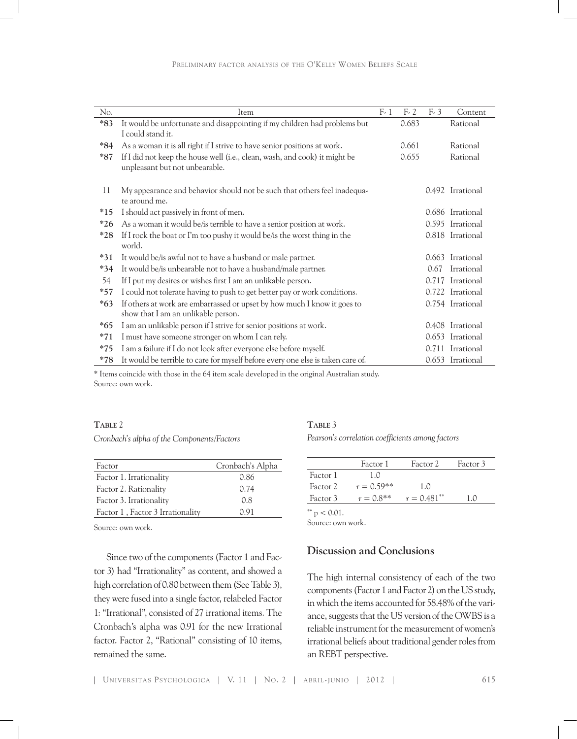| No.   | Item                                                                                                            | $F-1$ | $F-2$ | $F-3$ | Content          |
|-------|-----------------------------------------------------------------------------------------------------------------|-------|-------|-------|------------------|
| $*83$ | It would be unfortunate and disappointing if my children had problems but<br>I could stand it.                  |       | 0.683 |       | Rational         |
| $*84$ | As a woman it is all right if I strive to have senior positions at work.                                        |       | 0.661 |       | Rational         |
| $*87$ | If I did not keep the house well (i.e., clean, wash, and cook) it might be<br>unpleasant but not unbearable.    |       | 0.655 |       | Rational         |
| 11    | My appearance and behavior should not be such that others feel inadequa-<br>te around me.                       |       |       |       | 0.492 Irrational |
| $*15$ | I should act passively in front of men.                                                                         |       |       |       | 0.686 Irrational |
| $*26$ | As a woman it would be/is terrible to have a senior position at work.                                           |       |       | 0.595 | Irrational       |
| $*28$ | If I rock the boat or I'm too pushy it would be/is the worst thing in the<br>world.                             |       |       |       | 0.818 Irrational |
| $*31$ | It would be/is awful not to have a husband or male partner.                                                     |       |       | 0.663 | Irrational       |
| $*34$ | It would be/is unbearable not to have a husband/male partner.                                                   |       |       | 0.67  | Irrational       |
| 54    | If I put my desires or wishes first I am an unlikable person.                                                   |       |       | 0.717 | Irrational       |
| $*57$ | I could not tolerate having to push to get better pay or work conditions.                                       |       |       | 0.722 | Irrational       |
| $*63$ | If others at work are embarrassed or upset by how much I know it goes to<br>show that I am an unlikable person. |       |       |       | 0.754 Irrational |
| $*65$ | I am an unlikable person if I strive for senior positions at work.                                              |       |       | 0.408 | Irrational       |
| $*71$ | I must have someone stronger on whom I can rely.                                                                |       |       | 0.653 | Irrational       |
| $*75$ | I am a failure if I do not look after everyone else before myself.                                              |       |       | 0.711 | Irrational       |
| $*78$ | It would be terrible to care for myself before every one else is taken care of.                                 |       |       |       | 0.653 Irrational |

\* Items coincide with those in the 64 item scale developed in the original Australian study. Source: own work.

## **Table** 2

*Cronbach's alpha of the Components/Factors* 

| Factor                           | Cronbach's Alpha |
|----------------------------------|------------------|
| Factor 1. Irrationality          | 0.86             |
| Factor 2. Rationality            | 0.74             |
| Factor 3. Irrationality          | 0.8              |
| Factor 1, Factor 3 Irrationality | 0.91             |

Source: own work.

Since two of the components (Factor 1 and Factor 3) had "Irrationality" as content, and showed a high correlation of 0.80 between them (See Table 3), they were fused into a single factor, relabeled Factor 1: "Irrational", consisted of 27 irrational items. The Cronbach's alpha was 0.91 for the new Irrational factor. Factor 2, "Rational" consisting of 10 items, remained the same.

# **Table** 3

*Pearson's correlation coefficients among factors* 

|          | Factor 1     | Factor 2       | Factor 3 |  |
|----------|--------------|----------------|----------|--|
| Factor 1 | 1(0)         |                |          |  |
| Factor 2 | $r = 0.59**$ | 1.0            |          |  |
| Factor 3 | $r = 0.8**$  | $r = 0.481***$ | 1 ∩      |  |
|          |              |                |          |  |

 $*$   $p < 0.01$ .

Source: own work.

# **Discussion and Conclusions**

The high internal consistency of each of the two components (Factor 1 and Factor 2) on the US study, in which the items accounted for 58.48% of the variance, suggests that the US version of the OWBS is a reliable instrument for the measurement of women's irrational beliefs about traditional gender roles from an REBT perspective.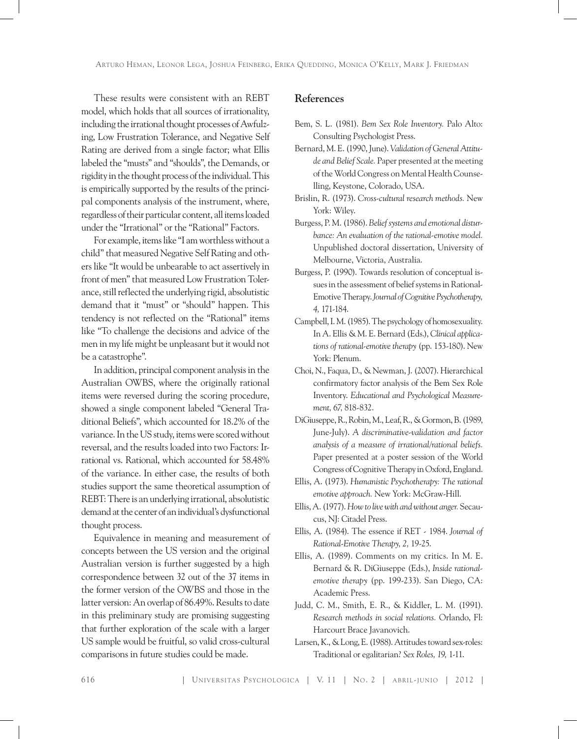These results were consistent with an REBT model, which holds that all sources of irrationality, including the irrational thought processes of Awfulzing, Low Frustration Tolerance, and Negative Self Rating are derived from a single factor; what Ellis labeled the "musts" and "shoulds", the Demands, or rigidity in the thought process of the individual. This is empirically supported by the results of the principal components analysis of the instrument, where, regardless of their particular content, all items loaded under the "Irrational" or the "Rational" Factors.

For example, items like "I am worthless without a child" that measured Negative Self Rating and others like "It would be unbearable to act assertively in front of men" that measured Low Frustration Tolerance, still reflected the underlying rigid, absolutistic demand that it "must" or "should" happen. This tendency is not reflected on the "Rational" items like "To challenge the decisions and advice of the men in my life might be unpleasant but it would not be a catastrophe".

In addition, principal component analysis in the Australian OWBS, where the originally rational items were reversed during the scoring procedure, showed a single component labeled "General Traditional Beliefs", which accounted for 18.2% of the variance. In the US study, items were scored without reversal, and the results loaded into two Factors: Irrational vs. Rational, which accounted for 58.48% of the variance. In either case, the results of both studies support the same theoretical assumption of REBT: There is an underlying irrational, absolutistic demand at the center of an individual's dysfunctional thought process.

Equivalence in meaning and measurement of concepts between the US version and the original Australian version is further suggested by a high correspondence between 32 out of the 37 items in the former version of the OWBS and those in the latter version: An overlap of 86.49%. Results to date in this preliminary study are promising suggesting that further exploration of the scale with a larger US sample would be fruitful, so valid cross-cultural comparisons in future studies could be made.

# **References**

- Bem, S. L. (1981). *Bem Sex Role Inventory.* Palo Alto: Consulting Psychologist Press.
- Bernard, M. E. (1990, June). *Validation of General Attitude and Belief Scale.* Paper presented at the meeting of the World Congress on Mental Health Counselling, Keystone, Colorado, USA.
- Brislin, R. (1973). *Cross-cultural research methods.* New York: Wiley.
- Burgess, P. M. (1986). *Belief systems and emotional disturbance: An evaluation of the rational-emotive model.*  Unpublished doctoral dissertation, University of Melbourne, Victoria, Australia.
- Burgess, P. (1990). Towards resolution of conceptual issues in the assessment of belief systems in Rational-Emotive Therapy. *Journal of Cognitive Psychotherapy, 4,* 171-184.
- Campbell, I. M. (1985). The psychology of homosexuality. In A. Ellis & M. E. Bernard (Eds.), *Clinical applications of rational-emotive therapy* (pp. 153-180). New York: Plenum.
- Choi, N., Faqua, D., & Newman, J. (2007). Hierarchical confirmatory factor analysis of the Bem Sex Role Inventory. *Educational and Psychological Measurement, 67,* 818-832.
- DiGiuseppe, R., Robin, M., Leaf, R., & Gormon, B. (1989, June-July). *A discriminative-validation and factor analysis of a measure of irrational/rational beliefs.*  Paper presented at a poster session of the World Congress of Cognitive Therapy in Oxford, England.
- Ellis, A. (1973). *Humanistic Psychotherapy: The rational emotive approach.* New York: McGraw-Hill.
- Ellis, A. (1977). *How to live with and without anger.* Secaucus, NJ: Citadel Press.
- Ellis, A. (1984). The essence if RET 1984. *Journal of Rational-Emotive Therapy, 2,* 19-25.
- Ellis, A. (1989). Comments on my critics. In M. E. Bernard & R. DiGiuseppe (Eds.), *Inside rationalemotive therapy* (pp. 199-233). San Diego, CA: Academic Press.
- Judd, C. M., Smith, E. R., & Kiddler, L. M. (1991). *Research methods in social relations.* Orlando, Fl: Harcourt Brace Javanovich.
- Larsen, K., & Long, E. (1988). Attitudes toward sex-roles: Traditional or egalitarian? *Sex Roles, 19,* 1-11.